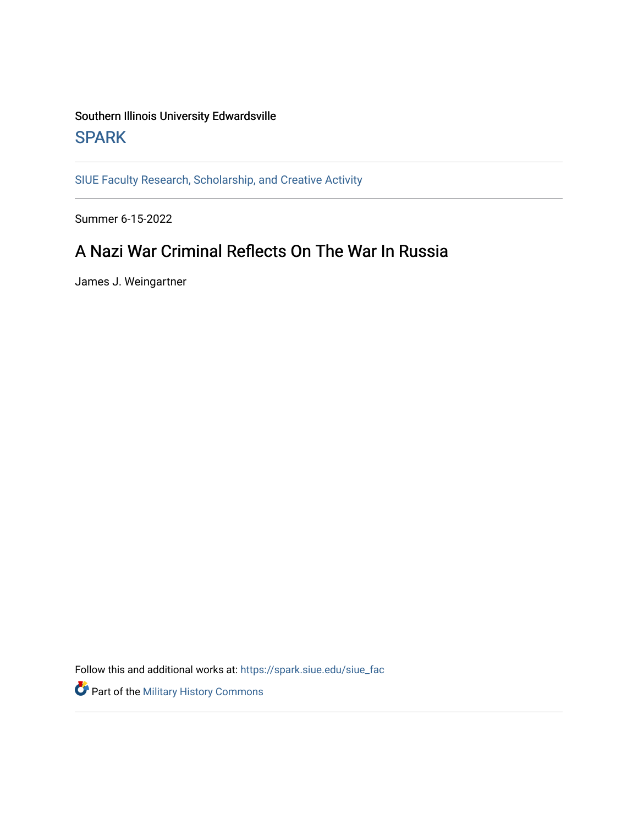### Southern Illinois University Edwardsville **SPARK**

[SIUE Faculty Research, Scholarship, and Creative Activity](https://spark.siue.edu/siue_fac) 

Summer 6-15-2022

### A Nazi War Criminal Reflects On The War In Russia

James J. Weingartner

Follow this and additional works at: [https://spark.siue.edu/siue\\_fac](https://spark.siue.edu/siue_fac?utm_source=spark.siue.edu%2Fsiue_fac%2F152&utm_medium=PDF&utm_campaign=PDFCoverPages)

Part of the [Military History Commons](https://network.bepress.com/hgg/discipline/504?utm_source=spark.siue.edu%2Fsiue_fac%2F152&utm_medium=PDF&utm_campaign=PDFCoverPages)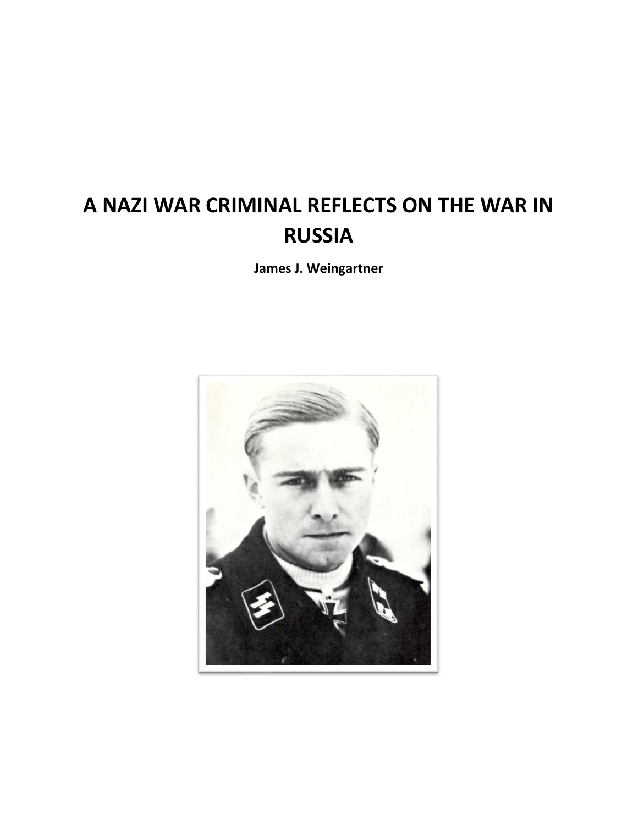# **A NAZI WAR CRIMINAL REFLECTS ON THE WAR IN RUSSIA**

**James J. Weingartner**

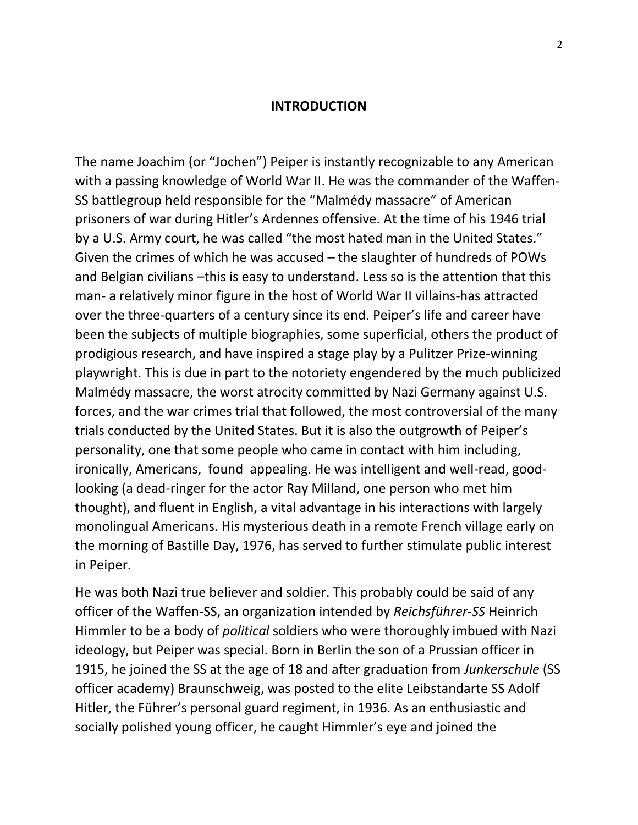#### **INTRODUCTION**

The name Joachim (or "Jochen") Peiper is instantly recognizable to any American with a passing knowledge of World War II. He was the commander of the Waffen-SS battlegroup held responsible for the "Malmédy massacre" of American prisoners of war during Hitler's Ardennes offensive. At the time of his 1946 trial by a U.S. Army court, he was called "the most hated man in the United States." Given the crimes of which he was accused – the slaughter of hundreds of POWs and Belgian civilians –this is easy to understand. Less so is the attention that this man- a relatively minor figure in the host of World War II villains-has attracted over the three-quarters of a century since its end. Peiper's life and career have been the subjects of multiple biographies, some superficial, others the product of prodigious research, and have inspired a stage play by a Pulitzer Prize-winning playwright. This is due in part to the notoriety engendered by the much publicized Malmédy massacre, the worst atrocity committed by Nazi Germany against U.S. forces, and the war crimes trial that followed, the most controversial of the many trials conducted by the United States. But it is also the outgrowth of Peiper's personality, one that some people who came in contact with him including, ironically, Americans, found appealing. He was intelligent and well-read, goodlooking (a dead-ringer for the actor Ray Milland, one person who met him thought), and fluent in English, a vital advantage in his interactions with largely monolingual Americans. His mysterious death in a remote French village early on the morning of Bastille Day, 1976, has served to further stimulate public interest in Peiper.

He was both Nazi true believer and soldier. This probably could be said of any officer of the Waffen-SS, an organization intended by *Reichsführer-SS* Heinrich Himmler to be a body of *political* soldiers who were thoroughly imbued with Nazi ideology, but Peiper was special. Born in Berlin the son of a Prussian officer in 1915, he joined the SS at the age of 18 and after graduation from *Junkerschule* (SS officer academy) Braunschweig, was posted to the elite Leibstandarte SS Adolf Hitler, the Führer's personal guard regiment, in 1936. As an enthusiastic and socially polished young officer, he caught Himmler's eye and joined the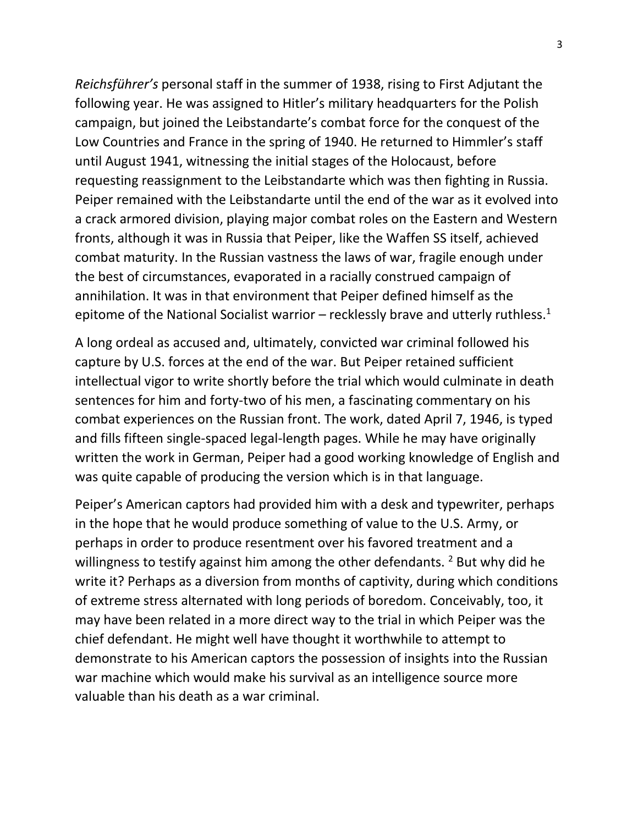*Reichsführer's* personal staff in the summer of 1938, rising to First Adjutant the following year. He was assigned to Hitler's military headquarters for the Polish campaign, but joined the Leibstandarte's combat force for the conquest of the Low Countries and France in the spring of 1940. He returned to Himmler's staff until August 1941, witnessing the initial stages of the Holocaust, before requesting reassignment to the Leibstandarte which was then fighting in Russia. Peiper remained with the Leibstandarte until the end of the war as it evolved into a crack armored division, playing major combat roles on the Eastern and Western fronts, although it was in Russia that Peiper, like the Waffen SS itself, achieved combat maturity. In the Russian vastness the laws of war, fragile enough under the best of circumstances, evaporated in a racially construed campaign of annihilation. It was in that environment that Peiper defined himself as the epitome of the National Socialist warrior – recklessly brave and utterly ruthless.<sup>1</sup>

A long ordeal as accused and, ultimately, convicted war criminal followed his capture by U.S. forces at the end of the war. But Peiper retained sufficient intellectual vigor to write shortly before the trial which would culminate in death sentences for him and forty-two of his men, a fascinating commentary on his combat experiences on the Russian front. The work, dated April 7, 1946, is typed and fills fifteen single-spaced legal-length pages. While he may have originally written the work in German, Peiper had a good working knowledge of English and was quite capable of producing the version which is in that language.

Peiper's American captors had provided him with a desk and typewriter, perhaps in the hope that he would produce something of value to the U.S. Army, or perhaps in order to produce resentment over his favored treatment and a willingness to testify against him among the other defendants.  $2$  But why did he write it? Perhaps as a diversion from months of captivity, during which conditions of extreme stress alternated with long periods of boredom. Conceivably, too, it may have been related in a more direct way to the trial in which Peiper was the chief defendant. He might well have thought it worthwhile to attempt to demonstrate to his American captors the possession of insights into the Russian war machine which would make his survival as an intelligence source more valuable than his death as a war criminal.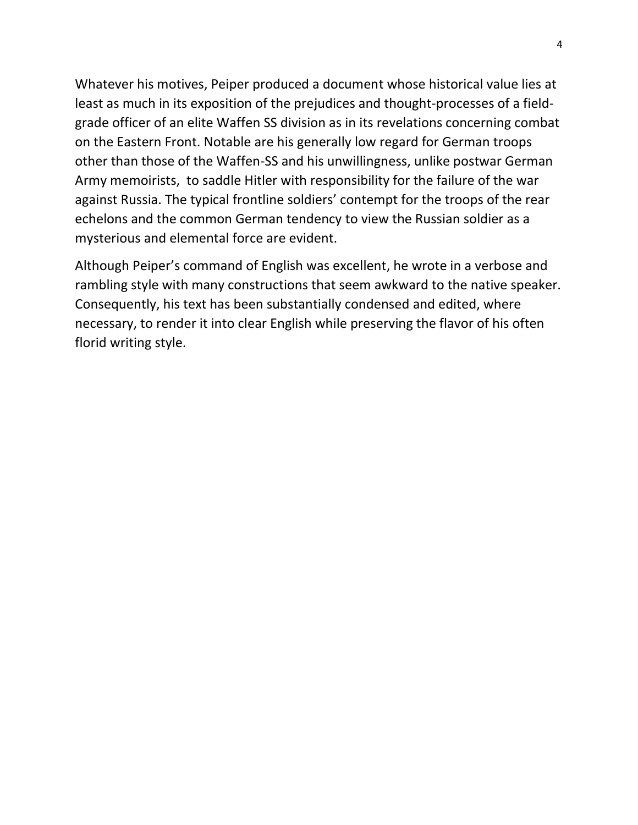Whatever his motives, Peiper produced a document whose historical value lies at least as much in its exposition of the prejudices and thought-processes of a fieldgrade officer of an elite Waffen SS division as in its revelations concerning combat on the Eastern Front. Notable are his generally low regard for German troops other than those of the Waffen-SS and his unwillingness, unlike postwar German Army memoirists, to saddle Hitler with responsibility for the failure of the war against Russia. The typical frontline soldiers' contempt for the troops of the rear echelons and the common German tendency to view the Russian soldier as a mysterious and elemental force are evident.

Although Peiper's command of English was excellent, he wrote in a verbose and rambling style with many constructions that seem awkward to the native speaker. Consequently, his text has been substantially condensed and edited, where necessary, to render it into clear English while preserving the flavor of his often florid writing style.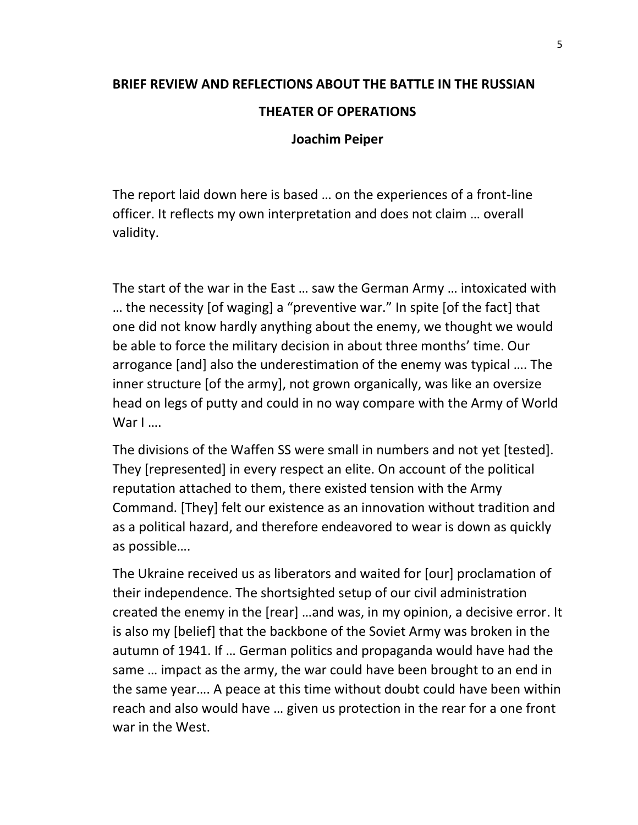## **BRIEF REVIEW AND REFLECTIONS ABOUT THE BATTLE IN THE RUSSIAN THEATER OF OPERATIONS Joachim Peiper**

The report laid down here is based … on the experiences of a front-line officer. It reflects my own interpretation and does not claim … overall validity.

The start of the war in the East … saw the German Army … intoxicated with … the necessity [of waging] a "preventive war." In spite [of the fact] that one did not know hardly anything about the enemy, we thought we would be able to force the military decision in about three months' time. Our arrogance [and] also the underestimation of the enemy was typical …. The inner structure [of the army], not grown organically, was like an oversize head on legs of putty and could in no way compare with the Army of World War I ….

The divisions of the Waffen SS were small in numbers and not yet [tested]. They [represented] in every respect an elite. On account of the political reputation attached to them, there existed tension with the Army Command. [They] felt our existence as an innovation without tradition and as a political hazard, and therefore endeavored to wear is down as quickly as possible….

The Ukraine received us as liberators and waited for [our] proclamation of their independence. The shortsighted setup of our civil administration created the enemy in the [rear] …and was, in my opinion, a decisive error. It is also my [belief] that the backbone of the Soviet Army was broken in the autumn of 1941. If … German politics and propaganda would have had the same … impact as the army, the war could have been brought to an end in the same year…. A peace at this time without doubt could have been within reach and also would have … given us protection in the rear for a one front war in the West.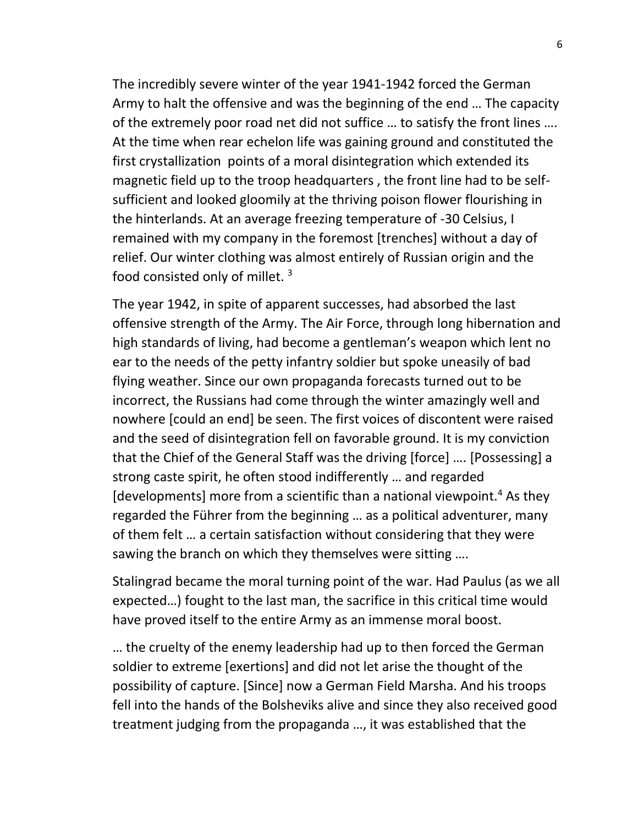The incredibly severe winter of the year 1941-1942 forced the German Army to halt the offensive and was the beginning of the end … The capacity of the extremely poor road net did not suffice … to satisfy the front lines …. At the time when rear echelon life was gaining ground and constituted the first crystallization points of a moral disintegration which extended its magnetic field up to the troop headquarters , the front line had to be selfsufficient and looked gloomily at the thriving poison flower flourishing in the hinterlands. At an average freezing temperature of -30 Celsius, I remained with my company in the foremost [trenches] without a day of relief. Our winter clothing was almost entirely of Russian origin and the food consisted only of millet. <sup>3</sup>

The year 1942, in spite of apparent successes, had absorbed the last offensive strength of the Army. The Air Force, through long hibernation and high standards of living, had become a gentleman's weapon which lent no ear to the needs of the petty infantry soldier but spoke uneasily of bad flying weather. Since our own propaganda forecasts turned out to be incorrect, the Russians had come through the winter amazingly well and nowhere [could an end] be seen. The first voices of discontent were raised and the seed of disintegration fell on favorable ground. It is my conviction that the Chief of the General Staff was the driving [force] …. [Possessing] a strong caste spirit, he often stood indifferently … and regarded [developments] more from a scientific than a national viewpoint.<sup>4</sup> As they regarded the Führer from the beginning … as a political adventurer, many of them felt … a certain satisfaction without considering that they were sawing the branch on which they themselves were sitting ….

Stalingrad became the moral turning point of the war. Had Paulus (as we all expected…) fought to the last man, the sacrifice in this critical time would have proved itself to the entire Army as an immense moral boost.

… the cruelty of the enemy leadership had up to then forced the German soldier to extreme [exertions] and did not let arise the thought of the possibility of capture. [Since] now a German Field Marsha. And his troops fell into the hands of the Bolsheviks alive and since they also received good treatment judging from the propaganda …, it was established that the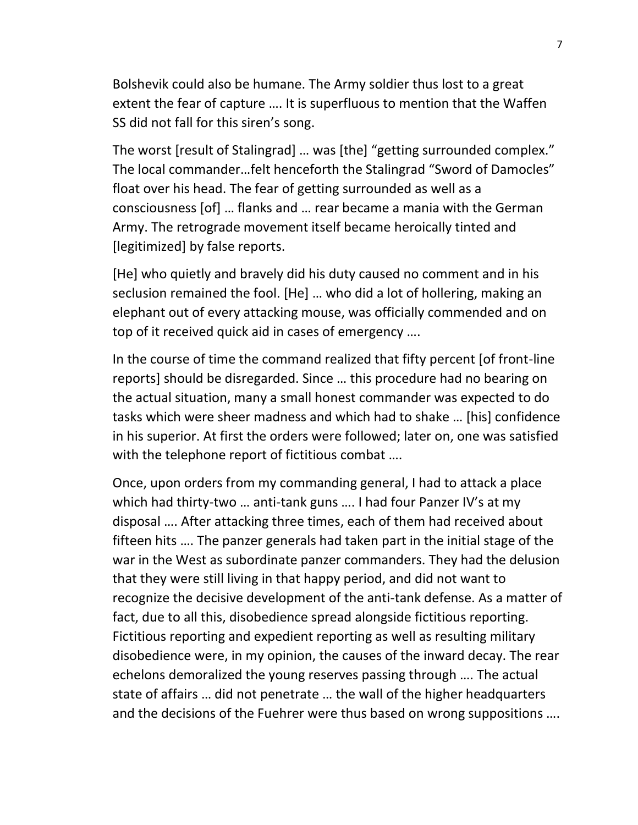Bolshevik could also be humane. The Army soldier thus lost to a great extent the fear of capture …. It is superfluous to mention that the Waffen SS did not fall for this siren's song.

The worst [result of Stalingrad] … was [the] "getting surrounded complex." The local commander…felt henceforth the Stalingrad "Sword of Damocles" float over his head. The fear of getting surrounded as well as a consciousness [of] … flanks and … rear became a mania with the German Army. The retrograde movement itself became heroically tinted and [legitimized] by false reports.

[He] who quietly and bravely did his duty caused no comment and in his seclusion remained the fool. [He] … who did a lot of hollering, making an elephant out of every attacking mouse, was officially commended and on top of it received quick aid in cases of emergency ….

In the course of time the command realized that fifty percent [of front-line reports] should be disregarded. Since … this procedure had no bearing on the actual situation, many a small honest commander was expected to do tasks which were sheer madness and which had to shake … [his] confidence in his superior. At first the orders were followed; later on, one was satisfied with the telephone report of fictitious combat ....

Once, upon orders from my commanding general, I had to attack a place which had thirty-two … anti-tank guns …. I had four Panzer IV's at my disposal …. After attacking three times, each of them had received about fifteen hits …. The panzer generals had taken part in the initial stage of the war in the West as subordinate panzer commanders. They had the delusion that they were still living in that happy period, and did not want to recognize the decisive development of the anti-tank defense. As a matter of fact, due to all this, disobedience spread alongside fictitious reporting. Fictitious reporting and expedient reporting as well as resulting military disobedience were, in my opinion, the causes of the inward decay. The rear echelons demoralized the young reserves passing through …. The actual state of affairs … did not penetrate … the wall of the higher headquarters and the decisions of the Fuehrer were thus based on wrong suppositions ….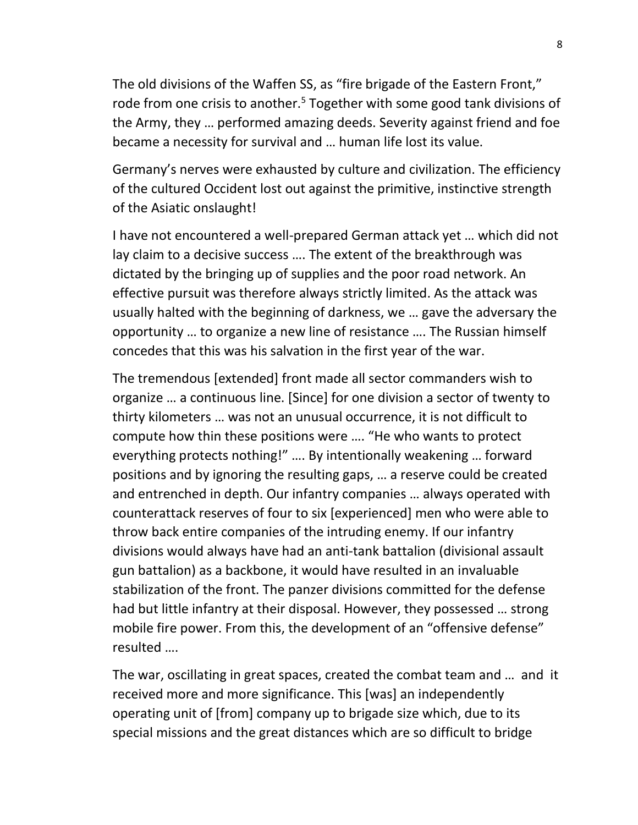The old divisions of the Waffen SS, as "fire brigade of the Eastern Front," rode from one crisis to another.<sup>5</sup> Together with some good tank divisions of the Army, they … performed amazing deeds. Severity against friend and foe became a necessity for survival and … human life lost its value.

Germany's nerves were exhausted by culture and civilization. The efficiency of the cultured Occident lost out against the primitive, instinctive strength of the Asiatic onslaught!

I have not encountered a well-prepared German attack yet … which did not lay claim to a decisive success …. The extent of the breakthrough was dictated by the bringing up of supplies and the poor road network. An effective pursuit was therefore always strictly limited. As the attack was usually halted with the beginning of darkness, we … gave the adversary the opportunity … to organize a new line of resistance …. The Russian himself concedes that this was his salvation in the first year of the war.

The tremendous [extended] front made all sector commanders wish to organize … a continuous line. [Since] for one division a sector of twenty to thirty kilometers … was not an unusual occurrence, it is not difficult to compute how thin these positions were …. "He who wants to protect everything protects nothing!" …. By intentionally weakening … forward positions and by ignoring the resulting gaps, … a reserve could be created and entrenched in depth. Our infantry companies … always operated with counterattack reserves of four to six [experienced] men who were able to throw back entire companies of the intruding enemy. If our infantry divisions would always have had an anti-tank battalion (divisional assault gun battalion) as a backbone, it would have resulted in an invaluable stabilization of the front. The panzer divisions committed for the defense had but little infantry at their disposal. However, they possessed … strong mobile fire power. From this, the development of an "offensive defense" resulted ….

The war, oscillating in great spaces, created the combat team and … and it received more and more significance. This [was] an independently operating unit of [from] company up to brigade size which, due to its special missions and the great distances which are so difficult to bridge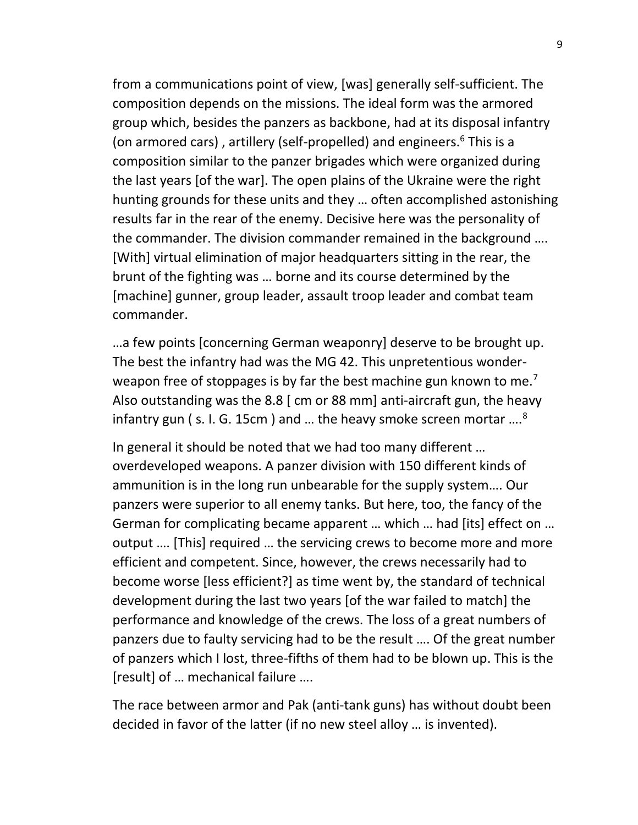from a communications point of view, [was] generally self-sufficient. The composition depends on the missions. The ideal form was the armored group which, besides the panzers as backbone, had at its disposal infantry (on armored cars), artillery (self-propelled) and engineers.<sup>6</sup> This is a composition similar to the panzer brigades which were organized during the last years [of the war]. The open plains of the Ukraine were the right hunting grounds for these units and they … often accomplished astonishing results far in the rear of the enemy. Decisive here was the personality of the commander. The division commander remained in the background …. [With] virtual elimination of major headquarters sitting in the rear, the brunt of the fighting was … borne and its course determined by the [machine] gunner, group leader, assault troop leader and combat team commander.

…a few points [concerning German weaponry] deserve to be brought up. The best the infantry had was the MG 42. This unpretentious wonderweapon free of stoppages is by far the best machine gun known to me.<sup>7</sup> Also outstanding was the 8.8 [ cm or 88 mm] anti-aircraft gun, the heavy infantry gun (s. I. G. 15cm) and  $\dots$  the heavy smoke screen mortar  $\dots$ <sup>8</sup>

In general it should be noted that we had too many different … overdeveloped weapons. A panzer division with 150 different kinds of ammunition is in the long run unbearable for the supply system…. Our panzers were superior to all enemy tanks. But here, too, the fancy of the German for complicating became apparent … which … had [its] effect on … output …. [This] required … the servicing crews to become more and more efficient and competent. Since, however, the crews necessarily had to become worse [less efficient?] as time went by, the standard of technical development during the last two years [of the war failed to match] the performance and knowledge of the crews. The loss of a great numbers of panzers due to faulty servicing had to be the result …. Of the great number of panzers which I lost, three-fifths of them had to be blown up. This is the [result] of … mechanical failure ….

The race between armor and Pak (anti-tank guns) has without doubt been decided in favor of the latter (if no new steel alloy … is invented).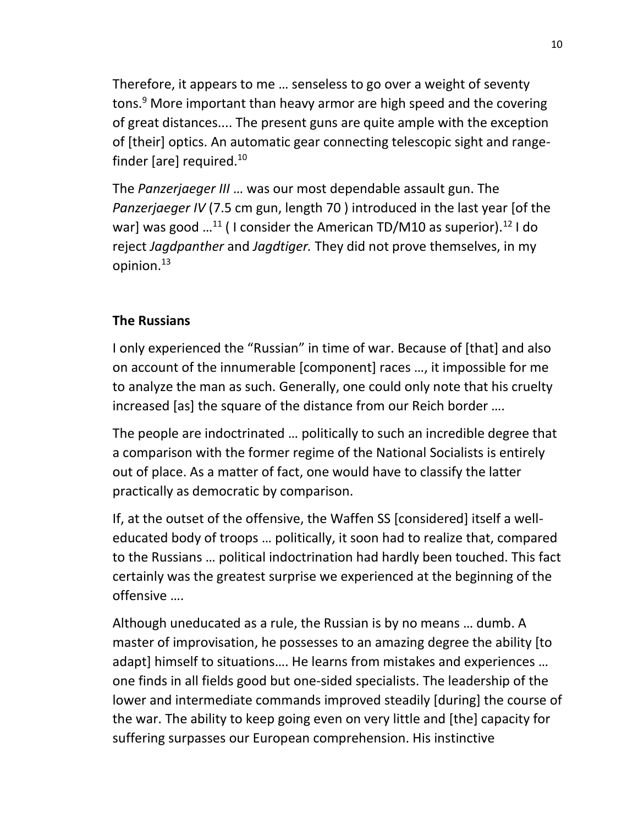Therefore, it appears to me … senseless to go over a weight of seventy tons.<sup>9</sup> More important than heavy armor are high speed and the covering of great distances.... The present guns are quite ample with the exception of [their] optics. An automatic gear connecting telescopic sight and rangefinder [are] required. $^{10}$ 

The *Panzerjaeger III* … was our most dependable assault gun. The *Panzerjaeger IV* (7.5 cm gun, length 70 ) introduced in the last year [of the war] was good  $...^{11}$  ( I consider the American TD/M10 as superior).<sup>12</sup> I do reject *Jagdpanther* and *Jagdtiger.* They did not prove themselves, in my opinion.<sup>13</sup>

### **The Russians**

I only experienced the "Russian" in time of war. Because of [that] and also on account of the innumerable [component] races …, it impossible for me to analyze the man as such. Generally, one could only note that his cruelty increased [as] the square of the distance from our Reich border ….

The people are indoctrinated … politically to such an incredible degree that a comparison with the former regime of the National Socialists is entirely out of place. As a matter of fact, one would have to classify the latter practically as democratic by comparison.

If, at the outset of the offensive, the Waffen SS [considered] itself a welleducated body of troops … politically, it soon had to realize that, compared to the Russians … political indoctrination had hardly been touched. This fact certainly was the greatest surprise we experienced at the beginning of the offensive ….

Although uneducated as a rule, the Russian is by no means … dumb. A master of improvisation, he possesses to an amazing degree the ability [to adapt] himself to situations…. He learns from mistakes and experiences … one finds in all fields good but one-sided specialists. The leadership of the lower and intermediate commands improved steadily [during] the course of the war. The ability to keep going even on very little and [the] capacity for suffering surpasses our European comprehension. His instinctive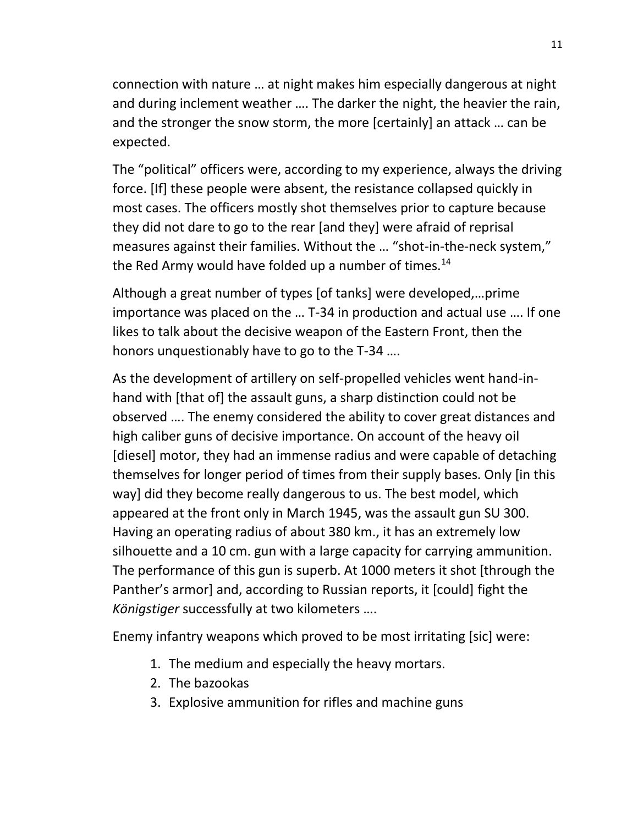connection with nature … at night makes him especially dangerous at night and during inclement weather …. The darker the night, the heavier the rain, and the stronger the snow storm, the more [certainly] an attack … can be expected.

The "political" officers were, according to my experience, always the driving force. [If] these people were absent, the resistance collapsed quickly in most cases. The officers mostly shot themselves prior to capture because they did not dare to go to the rear [and they] were afraid of reprisal measures against their families. Without the … "shot-in-the-neck system," the Red Army would have folded up a number of times. $^{14}$ 

Although a great number of types [of tanks] were developed,…prime importance was placed on the … T-34 in production and actual use …. If one likes to talk about the decisive weapon of the Eastern Front, then the honors unquestionably have to go to the T-34 ….

As the development of artillery on self-propelled vehicles went hand-inhand with [that of] the assault guns, a sharp distinction could not be observed …. The enemy considered the ability to cover great distances and high caliber guns of decisive importance. On account of the heavy oil [diesel] motor, they had an immense radius and were capable of detaching themselves for longer period of times from their supply bases. Only [in this way] did they become really dangerous to us. The best model, which appeared at the front only in March 1945, was the assault gun SU 300. Having an operating radius of about 380 km., it has an extremely low silhouette and a 10 cm. gun with a large capacity for carrying ammunition. The performance of this gun is superb. At 1000 meters it shot [through the Panther's armor] and, according to Russian reports, it [could] fight the *Königstiger* successfully at two kilometers ….

Enemy infantry weapons which proved to be most irritating [sic] were:

- 1. The medium and especially the heavy mortars.
- 2. The bazookas
- 3. Explosive ammunition for rifles and machine guns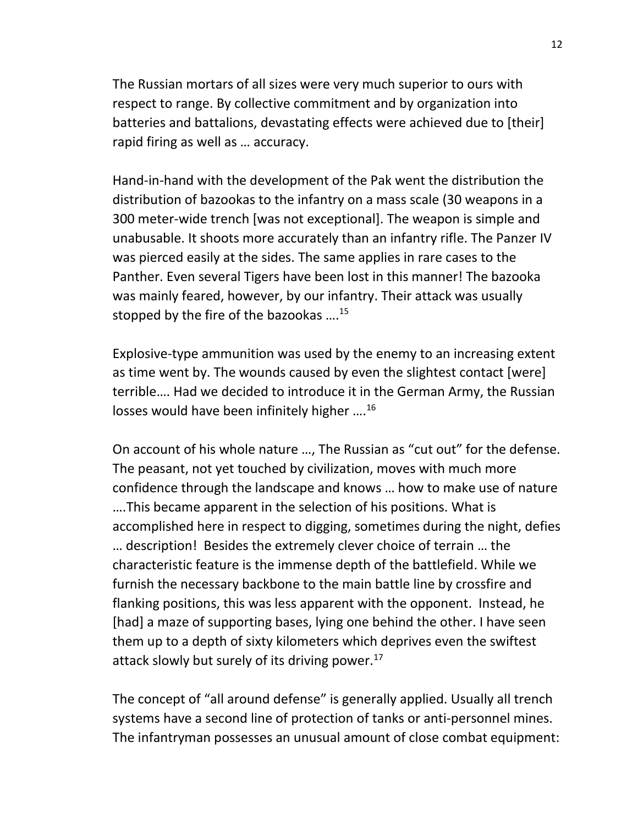The Russian mortars of all sizes were very much superior to ours with respect to range. By collective commitment and by organization into batteries and battalions, devastating effects were achieved due to [their] rapid firing as well as … accuracy.

Hand-in-hand with the development of the Pak went the distribution the distribution of bazookas to the infantry on a mass scale (30 weapons in a 300 meter-wide trench [was not exceptional]. The weapon is simple and unabusable. It shoots more accurately than an infantry rifle. The Panzer IV was pierced easily at the sides. The same applies in rare cases to the Panther. Even several Tigers have been lost in this manner! The bazooka was mainly feared, however, by our infantry. Their attack was usually stopped by the fire of the bazookas ....<sup>15</sup>

Explosive-type ammunition was used by the enemy to an increasing extent as time went by. The wounds caused by even the slightest contact [were] terrible…. Had we decided to introduce it in the German Army, the Russian losses would have been infinitely higher ….<sup>16</sup>

On account of his whole nature …, The Russian as "cut out" for the defense. The peasant, not yet touched by civilization, moves with much more confidence through the landscape and knows … how to make use of nature ….This became apparent in the selection of his positions. What is accomplished here in respect to digging, sometimes during the night, defies … description! Besides the extremely clever choice of terrain … the characteristic feature is the immense depth of the battlefield. While we furnish the necessary backbone to the main battle line by crossfire and flanking positions, this was less apparent with the opponent. Instead, he [had] a maze of supporting bases, lying one behind the other. I have seen them up to a depth of sixty kilometers which deprives even the swiftest attack slowly but surely of its driving power. $^{17}$ 

The concept of "all around defense" is generally applied. Usually all trench systems have a second line of protection of tanks or anti-personnel mines. The infantryman possesses an unusual amount of close combat equipment: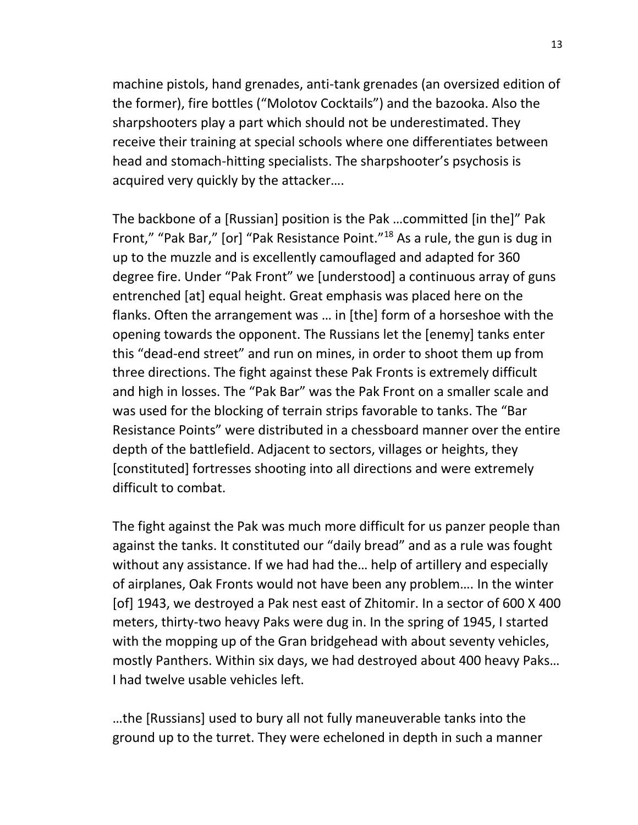machine pistols, hand grenades, anti-tank grenades (an oversized edition of the former), fire bottles ("Molotov Cocktails") and the bazooka. Also the sharpshooters play a part which should not be underestimated. They receive their training at special schools where one differentiates between head and stomach-hitting specialists. The sharpshooter's psychosis is acquired very quickly by the attacker….

The backbone of a [Russian] position is the Pak …committed [in the]" Pak Front," "Pak Bar," [or] "Pak Resistance Point."<sup>18</sup> As a rule, the gun is dug in up to the muzzle and is excellently camouflaged and adapted for 360 degree fire. Under "Pak Front" we [understood] a continuous array of guns entrenched [at] equal height. Great emphasis was placed here on the flanks. Often the arrangement was … in [the] form of a horseshoe with the opening towards the opponent. The Russians let the [enemy] tanks enter this "dead-end street" and run on mines, in order to shoot them up from three directions. The fight against these Pak Fronts is extremely difficult and high in losses. The "Pak Bar" was the Pak Front on a smaller scale and was used for the blocking of terrain strips favorable to tanks. The "Bar Resistance Points" were distributed in a chessboard manner over the entire depth of the battlefield. Adjacent to sectors, villages or heights, they [constituted] fortresses shooting into all directions and were extremely difficult to combat.

The fight against the Pak was much more difficult for us panzer people than against the tanks. It constituted our "daily bread" and as a rule was fought without any assistance. If we had had the… help of artillery and especially of airplanes, Oak Fronts would not have been any problem…. In the winter [of] 1943, we destroyed a Pak nest east of Zhitomir. In a sector of 600 X 400 meters, thirty-two heavy Paks were dug in. In the spring of 1945, I started with the mopping up of the Gran bridgehead with about seventy vehicles, mostly Panthers. Within six days, we had destroyed about 400 heavy Paks… I had twelve usable vehicles left.

…the [Russians] used to bury all not fully maneuverable tanks into the ground up to the turret. They were echeloned in depth in such a manner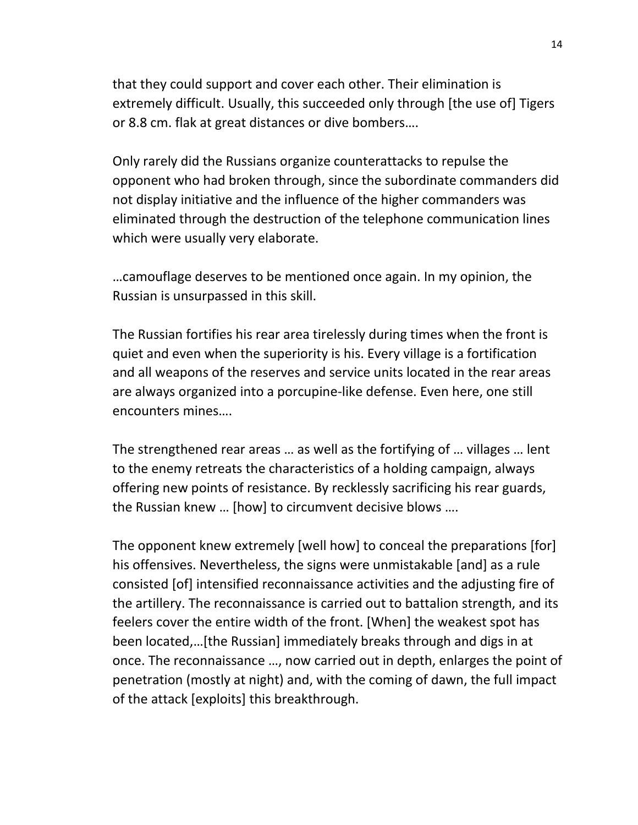that they could support and cover each other. Their elimination is extremely difficult. Usually, this succeeded only through [the use of] Tigers or 8.8 cm. flak at great distances or dive bombers….

Only rarely did the Russians organize counterattacks to repulse the opponent who had broken through, since the subordinate commanders did not display initiative and the influence of the higher commanders was eliminated through the destruction of the telephone communication lines which were usually very elaborate.

…camouflage deserves to be mentioned once again. In my opinion, the Russian is unsurpassed in this skill.

The Russian fortifies his rear area tirelessly during times when the front is quiet and even when the superiority is his. Every village is a fortification and all weapons of the reserves and service units located in the rear areas are always organized into a porcupine-like defense. Even here, one still encounters mines….

The strengthened rear areas … as well as the fortifying of … villages … lent to the enemy retreats the characteristics of a holding campaign, always offering new points of resistance. By recklessly sacrificing his rear guards, the Russian knew … [how] to circumvent decisive blows ….

The opponent knew extremely [well how] to conceal the preparations [for] his offensives. Nevertheless, the signs were unmistakable [and] as a rule consisted [of] intensified reconnaissance activities and the adjusting fire of the artillery. The reconnaissance is carried out to battalion strength, and its feelers cover the entire width of the front. [When] the weakest spot has been located,…[the Russian] immediately breaks through and digs in at once. The reconnaissance …, now carried out in depth, enlarges the point of penetration (mostly at night) and, with the coming of dawn, the full impact of the attack [exploits] this breakthrough.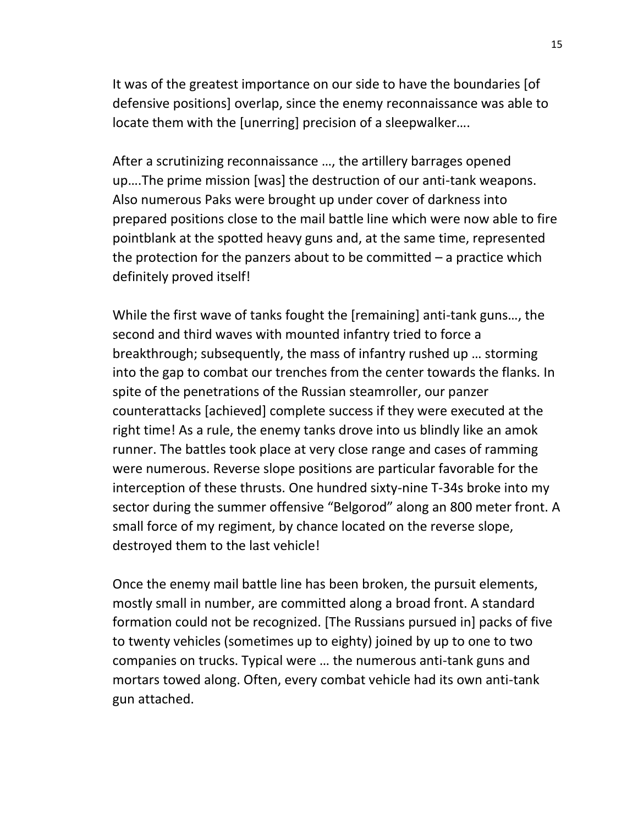It was of the greatest importance on our side to have the boundaries [of defensive positions] overlap, since the enemy reconnaissance was able to locate them with the [unerring] precision of a sleepwalker….

After a scrutinizing reconnaissance …, the artillery barrages opened up….The prime mission [was] the destruction of our anti-tank weapons. Also numerous Paks were brought up under cover of darkness into prepared positions close to the mail battle line which were now able to fire pointblank at the spotted heavy guns and, at the same time, represented the protection for the panzers about to be committed  $-$  a practice which definitely proved itself!

While the first wave of tanks fought the [remaining] anti-tank guns…, the second and third waves with mounted infantry tried to force a breakthrough; subsequently, the mass of infantry rushed up … storming into the gap to combat our trenches from the center towards the flanks. In spite of the penetrations of the Russian steamroller, our panzer counterattacks [achieved] complete success if they were executed at the right time! As a rule, the enemy tanks drove into us blindly like an amok runner. The battles took place at very close range and cases of ramming were numerous. Reverse slope positions are particular favorable for the interception of these thrusts. One hundred sixty-nine T-34s broke into my sector during the summer offensive "Belgorod" along an 800 meter front. A small force of my regiment, by chance located on the reverse slope, destroyed them to the last vehicle!

Once the enemy mail battle line has been broken, the pursuit elements, mostly small in number, are committed along a broad front. A standard formation could not be recognized. [The Russians pursued in] packs of five to twenty vehicles (sometimes up to eighty) joined by up to one to two companies on trucks. Typical were … the numerous anti-tank guns and mortars towed along. Often, every combat vehicle had its own anti-tank gun attached.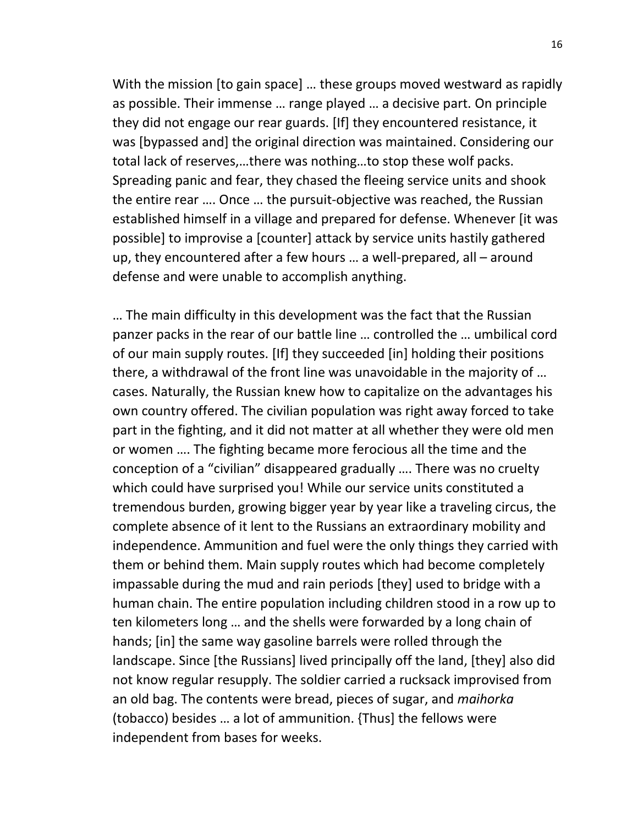With the mission [to gain space] … these groups moved westward as rapidly as possible. Their immense … range played … a decisive part. On principle they did not engage our rear guards. [If] they encountered resistance, it was [bypassed and] the original direction was maintained. Considering our total lack of reserves,…there was nothing…to stop these wolf packs. Spreading panic and fear, they chased the fleeing service units and shook the entire rear …. Once … the pursuit-objective was reached, the Russian established himself in a village and prepared for defense. Whenever [it was possible] to improvise a [counter] attack by service units hastily gathered up, they encountered after a few hours … a well-prepared, all – around defense and were unable to accomplish anything.

… The main difficulty in this development was the fact that the Russian panzer packs in the rear of our battle line … controlled the … umbilical cord of our main supply routes. [If] they succeeded [in] holding their positions there, a withdrawal of the front line was unavoidable in the majority of … cases. Naturally, the Russian knew how to capitalize on the advantages his own country offered. The civilian population was right away forced to take part in the fighting, and it did not matter at all whether they were old men or women …. The fighting became more ferocious all the time and the conception of a "civilian" disappeared gradually …. There was no cruelty which could have surprised you! While our service units constituted a tremendous burden, growing bigger year by year like a traveling circus, the complete absence of it lent to the Russians an extraordinary mobility and independence. Ammunition and fuel were the only things they carried with them or behind them. Main supply routes which had become completely impassable during the mud and rain periods [they] used to bridge with a human chain. The entire population including children stood in a row up to ten kilometers long … and the shells were forwarded by a long chain of hands; [in] the same way gasoline barrels were rolled through the landscape. Since [the Russians] lived principally off the land, [they] also did not know regular resupply. The soldier carried a rucksack improvised from an old bag. The contents were bread, pieces of sugar, and *maihorka* (tobacco) besides … a lot of ammunition. {Thus] the fellows were independent from bases for weeks.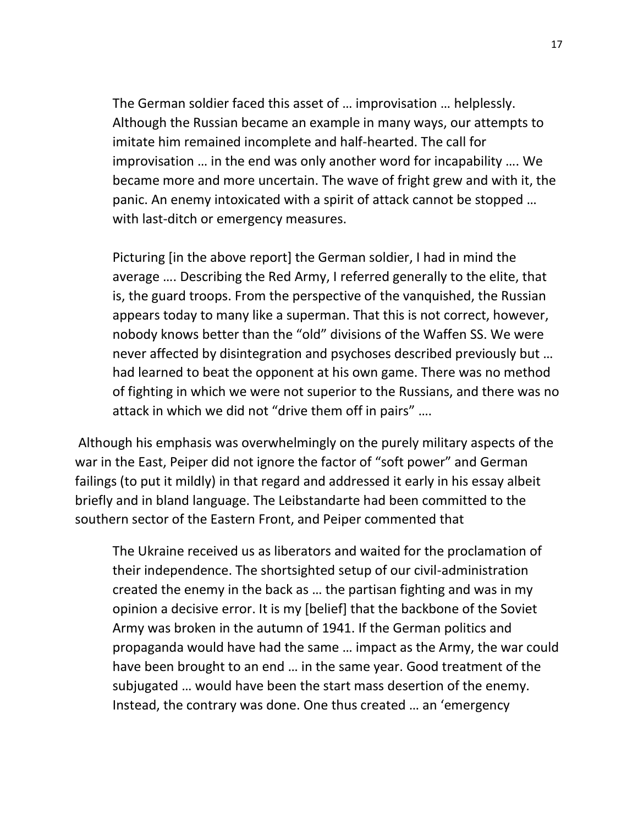The German soldier faced this asset of … improvisation … helplessly. Although the Russian became an example in many ways, our attempts to imitate him remained incomplete and half-hearted. The call for improvisation … in the end was only another word for incapability …. We became more and more uncertain. The wave of fright grew and with it, the panic. An enemy intoxicated with a spirit of attack cannot be stopped … with last-ditch or emergency measures.

Picturing [in the above report] the German soldier, I had in mind the average …. Describing the Red Army, I referred generally to the elite, that is, the guard troops. From the perspective of the vanquished, the Russian appears today to many like a superman. That this is not correct, however, nobody knows better than the "old" divisions of the Waffen SS. We were never affected by disintegration and psychoses described previously but … had learned to beat the opponent at his own game. There was no method of fighting in which we were not superior to the Russians, and there was no attack in which we did not "drive them off in pairs" ….

Although his emphasis was overwhelmingly on the purely military aspects of the war in the East, Peiper did not ignore the factor of "soft power" and German failings (to put it mildly) in that regard and addressed it early in his essay albeit briefly and in bland language. The Leibstandarte had been committed to the southern sector of the Eastern Front, and Peiper commented that

The Ukraine received us as liberators and waited for the proclamation of their independence. The shortsighted setup of our civil-administration created the enemy in the back as … the partisan fighting and was in my opinion a decisive error. It is my [belief] that the backbone of the Soviet Army was broken in the autumn of 1941. If the German politics and propaganda would have had the same … impact as the Army, the war could have been brought to an end … in the same year. Good treatment of the subjugated … would have been the start mass desertion of the enemy. Instead, the contrary was done. One thus created … an 'emergency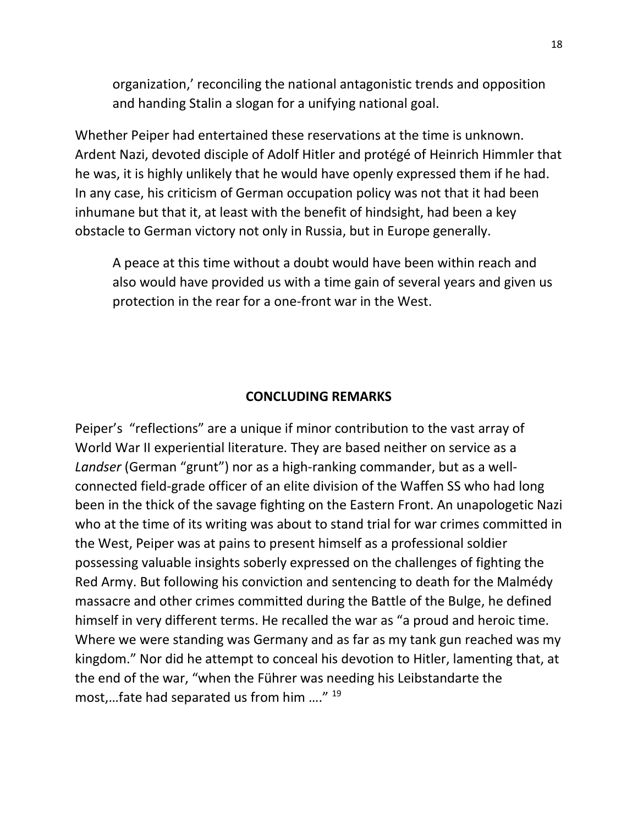organization,' reconciling the national antagonistic trends and opposition and handing Stalin a slogan for a unifying national goal.

Whether Peiper had entertained these reservations at the time is unknown. Ardent Nazi, devoted disciple of Adolf Hitler and protégé of Heinrich Himmler that he was, it is highly unlikely that he would have openly expressed them if he had. In any case, his criticism of German occupation policy was not that it had been inhumane but that it, at least with the benefit of hindsight, had been a key obstacle to German victory not only in Russia, but in Europe generally.

A peace at this time without a doubt would have been within reach and also would have provided us with a time gain of several years and given us protection in the rear for a one-front war in the West.

### **CONCLUDING REMARKS**

Peiper's "reflections" are a unique if minor contribution to the vast array of World War II experiential literature. They are based neither on service as a *Landser* (German "grunt") nor as a high-ranking commander, but as a wellconnected field-grade officer of an elite division of the Waffen SS who had long been in the thick of the savage fighting on the Eastern Front. An unapologetic Nazi who at the time of its writing was about to stand trial for war crimes committed in the West, Peiper was at pains to present himself as a professional soldier possessing valuable insights soberly expressed on the challenges of fighting the Red Army. But following his conviction and sentencing to death for the Malmédy massacre and other crimes committed during the Battle of the Bulge, he defined himself in very different terms. He recalled the war as "a proud and heroic time. Where we were standing was Germany and as far as my tank gun reached was my kingdom." Nor did he attempt to conceal his devotion to Hitler, lamenting that, at the end of the war, "when the Führer was needing his Leibstandarte the most,…fate had separated us from him …." <sup>19</sup>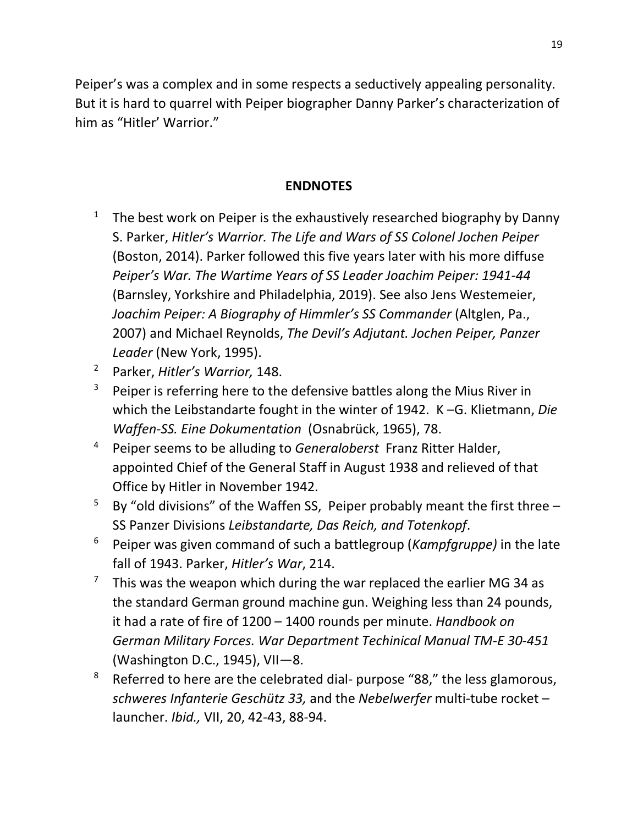Peiper's was a complex and in some respects a seductively appealing personality. But it is hard to quarrel with Peiper biographer Danny Parker's characterization of him as "Hitler' Warrior."

#### **ENDNOTES**

- <sup>1</sup> The best work on Peiper is the exhaustively researched biography by Danny S. Parker, *Hitler's Warrior. The Life and Wars of SS Colonel Jochen Peiper* (Boston, 2014). Parker followed this five years later with his more diffuse *Peiper's War. The Wartime Years of SS Leader Joachim Peiper: 1941-44*  (Barnsley, Yorkshire and Philadelphia, 2019). See also Jens Westemeier, *Joachim Peiper: A Biography of Himmler's SS Commander* (Altglen, Pa., 2007) and Michael Reynolds, *The Devil's Adjutant. Jochen Peiper, Panzer Leader* (New York, 1995).
- <sup>2</sup> Parker, *Hitler's Warrior,* 148.
- $3$  Peiper is referring here to the defensive battles along the Mius River in which the Leibstandarte fought in the winter of 1942. K –G. Klietmann, *Die Waffen-SS. Eine Dokumentation* (Osnabrück, 1965), 78.
- <sup>4</sup> Peiper seems to be alluding to *Generaloberst* Franz Ritter Halder, appointed Chief of the General Staff in August 1938 and relieved of that Office by Hitler in November 1942.
- <sup>5</sup> By "old divisions" of the Waffen SS, Peiper probably meant the first three  $-$ SS Panzer Divisions *Leibstandarte, Das Reich, and Totenkopf*.
- <sup>6</sup> Peiper was given command of such a battlegroup (*Kampfgruppe)* in the late fall of 1943. Parker, *Hitler's War*, 214.
- <sup>7</sup> This was the weapon which during the war replaced the earlier MG 34 as the standard German ground machine gun. Weighing less than 24 pounds, it had a rate of fire of 1200 – 1400 rounds per minute. *Handbook on German Military Forces. War Department Techinical Manual TM-E 30-451*  (Washington D.C., 1945), VII—8.
- <sup>8</sup> Referred to here are the celebrated dial- purpose "88," the less glamorous, *schweres Infanterie Geschütz 33,* and the *Nebelwerfer* multi-tube rocket – launcher. *Ibid.,* VII, 20, 42-43, 88-94.